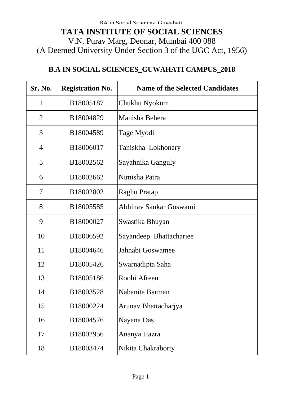## **B.A IN SOCIAL SCIENCES\_GUWAHATI CAMPUS\_2018**

| Sr. No.        | <b>Registration No.</b> | <b>Name of the Selected Candidates</b> |
|----------------|-------------------------|----------------------------------------|
| $\mathbf{1}$   | B18005187               | Chukhu Nyokum                          |
| $\overline{2}$ | B18004829               | Manisha Behera                         |
| 3              | B18004589               | Tage Myodi                             |
| 4              | B18006017               | Taniskha Lokhonary                     |
| 5              | B18002562               | Sayahnika Ganguly                      |
| 6              | B18002662               | Nimisha Patra                          |
| 7              | B18002802               | Raghu Pratap                           |
| 8              | B18005585               | Abhinav Sankar Goswami                 |
| 9              | B18000027               | Swastika Bhuyan                        |
| 10             | B18006592               | Sayandeep Bhattacharjee                |
| 11             | B18004646               | Jahnabi Goswamee                       |
| 12             | B18005426               | Swarnadipta Saha                       |
| 13             | B18005186               | Roohi Afreen                           |
| 14             | B18003528               | Nabanita Barman                        |
| 15             | B18000224               | Arunav Bhattacharjya                   |
| 16             | B18004576               | Nayana Das                             |
| 17             | B18002956               | Ananya Hazra                           |
| 18             | B18003474               | Nikita Chakraborty                     |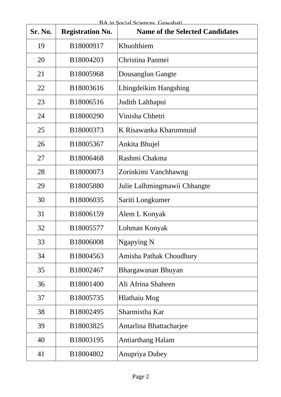| Sr. No. | <b>Registration No.</b> | <b>Name of the Selected Candidates</b> |
|---------|-------------------------|----------------------------------------|
| 19      | B18000917               | Khuolthiem                             |
| 20      | B18004203               | Christina Panmei                       |
| 21      | B18005968               | Dousanglun Gangte                      |
| 22      | B18003616               | Lhingdeikim Hangshing                  |
| 23      | B18006516               | Judith Lalthapui                       |
| 24      | B18000290               | Vinisha Chhetri                        |
| 25      | B18000373               | K Risawanka Kharumnuid                 |
| 26      | B18005367               | Ankita Bhujel                          |
| 27      | B18006468               | Rashmi Chakma                          |
| 28      | B18000073               | Zorinkimi Vanchhawng                   |
| 29      | B18005880               | Julie Lalhmingmawii Chhangte           |
| 30      | B18006035               | Sariti Longkumer                       |
| 31      | B18006159               | Alem L Konyak                          |
| 32      | B18005577               | Lohman Konyak                          |
| 33      | B18006008               | Ngapying N                             |
| 34      | B18004563               | Amisha Pathak Choudhury                |
| 35      | B18002467               | Bhargawanan Bhuyan                     |
| 36      | B18001400               | Ali Afrina Shaheen                     |
| 37      | B18005735               | Hlathaiu Mog                           |
| 38      | B18002495               | Sharmistha Kar                         |
| 39      | B18003825               | Antarlina Bhattacharjee                |
| 40      | B18003195               | <b>Antiarthang Halam</b>               |
| 41      | B18004802               | <b>Anupriya Dubey</b>                  |